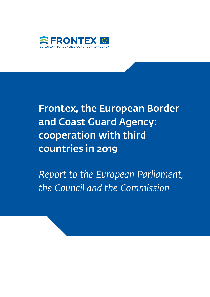

# Frontex, the European Border and Coast Guard Agency: cooperation with third countries in 2019

*Report to the European Parliament, the Council and the Commission*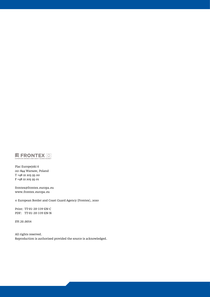

Plac Europejski 6 00–844 Warsaw, Poland T +48 22 205 95 00 F +48 22 205 95 01

frontex@frontex.europa.eu www.frontex.europa.eu

© European Border and Coast Guard Agency (Frontex), 2020

Print: TT-01-20-339-EN-C PDF: TT-01-20-339-EN-N

FPI 20.0054

All rights reserved. Reproduction is authorised provided the source is acknowledged.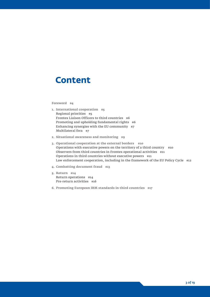### **Content**

**[Foreword](#page-3-0) #4**

- **1. [International cooperation](#page-4-0) #5** [Regional priorities](#page-4-0) #5 [Frontex Liaison Officers to third countries](#page-5-0) #6 [Promoting and upholding fundamental rights](#page-5-0) #6 [Enhancing synergies with the EU community](#page-6-0) #7 [Multilateral fora](#page-6-0) #7
- **2. [Situational awareness and monitoring](#page-8-0) #9**
- **3. [Operational cooperation at the external borders #10](#page-9-0)** [Operations with executive powers on the territory of a third country #10](#page-9-0) [Observers from third countries in Frontex operational activities](#page-10-0) #11 [Operations in third countries without executive powers](#page-10-0) #11 [Law enforcement cooperation, including in the framework of the EU Policy Cycle](#page-11-0) #12
- **4. [Combatting document fraud](#page-12-0) #13**
- **5. [Return](#page-13-0) #14** [Return operations](#page-13-0) #14 [Pre-return activities](#page-15-0) #16
- **6. [Promoting European IBM standards in third countries](#page-16-0) #17**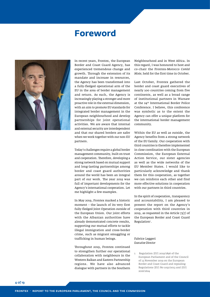### **Foreword**

<span id="page-3-0"></span>

In recent years, Frontex, the European Border and Coast Guard Agency, has experienced tremendous change and growth. Through the extension of its mandate and increase in resources, the Agency has been transformed into a fully-fledged operational arm of the EU in the area of border management and return. As such, the Agency is increasingly playing a stronger and more proactive role in the external dimension, with an aim to promote EU standards for integrated border management in the European neighbourhood and develop partnerships for joint operational activities. We are aware that internal and external security are interdependent and that our shared borders are safer when we work together with our non-EU partners.

Today's challenges require a global border management community, built on trust and cooperation. Therefore, developing a strong network based on mutual support and long-lasting partnerships among border and coast guard authorities around the world has been an integral part of our work. The year 2019 was full of important developments for the Agency's international cooperation. Let me highlight a few examples.

In May 2019, Frontex marked a historic moment – the launch of its very first fully-fledged Joint Operation outside of the European Union. Our joint efforts with the Albanian authorities have already demonstrated concrete results, supporting our mutual efforts to tackle illegal immigration and cross-border crime, such as migrant smuggling or trafficking in human beings.

Throughout 2019, Frontex continued to strengthen further our operational collaboration with neighbours in the Western Balkan and Eastern Partnership regions. We have also advanced dialogue with partners in the Southern Neighbourhood and in West Africa. In this regard, I was honoured to host and co-chair the Frontex-Morocco *Comité Mixte,* held for the first time in October.

Last October, Frontex gathered the border and coast guard executives of nearly 100 countries coming from five continents, as well as a broad range of institutional partners in Warsaw at the 24<sup>th</sup> International Border Police Conference. I believe, this conference was symbolic as to the extent the Agency can offer a unique platform for the international border management community.

Within the EU as well as outside, the Agency benefits from a strong network of the EU family. Our cooperation with third countries is therefore implemented in close coordination with the European Commission, the European External Action Service, our sister agencies as well as the wide networks of the EU Member States. I would like to particularly acknowledge and thank them for this cooperation, as together we can reinforce each other and find more effective solutions in cooperation with our partners in third countries.

In the spirit of cooperation, transparency and accountability, I am pleased to present the report on the Agency's cooperation with third countries in 2019, as requested in the Article 73(7) of the European Border and Coast Guard Regulation<sup>1</sup>.

#### Fabrice Leggeri *Executive Director*

1 Regulation (EU) 2019/1896 of the European Parliament and of the Council of 13 November 2019 on the European Border and Coast Guard and repealing Regulations (EU) No 1052/2013 and (EU) 2016/1624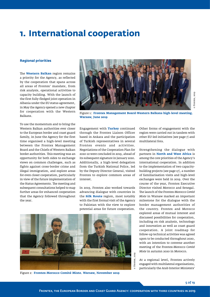# <span id="page-4-0"></span>**1. International cooperation**

#### **Regional priorities**

The **Western Balkan** region remains a priority for the Agency, as reflected by the cooperation that spans across all areas of Frontex' mandate, from risk analysis, operational activities to capacity building. With the launch of the first fully-fledged joint operation in Albania under the EU status agreement, in May the Agency opened a new chapter for cooperation with the Western Balkans.

To use the momentum and to bring the Western Balkan authorities ever closer to the European border and coast guard family, in June the Agency for the first time organised a high-level meeting between the Frontex Management Board and the Chiefs of Western Balkan border authorities. This meeting was an opportunity for both sides to exchange views on common challenges, such as fights against cross-border crime and illegal immigration, and explore areas for even closer cooperation, particularly in view of the future implementation of the Status Agreements. The meeting and subsequent consultations helped to map further areas for enhanced cooperation that the Agency followed throughout the year.



Figure 1: **Frontex Management Board-Western Balkans high-level meeting. Warsaw, June 2019**

Engagement with **Turkey** continued through the Frontex Liaison Officer based in Ankara and the participation of Turkish representatives in several Frontex events and activities. Negotiations of the Cooperation Plan for 2020-22 were concluded in 2019, ahead of its subsequent signature in January 2020. Additionally, a high-level delegation from the Turkish National Police, led by the Deputy Director General, visited Frontex to explore common areas of interest.

In 2019, Frontex also worked towards advancing dialogue with countries in the **Silk Route** region, most notably with the first formal visit of the Agency to Pakistan with the view to explore potential areas for future cooperation.



Figure 2: **Frontex-Morocco Comité Mixte. Warsaw, November 2019**

Other forms of engagement with the region were carried out in tandem with other EU-led initiatives (see page 7) and multilateral fora.

Strengthening the dialogue with partners in **North and West Africa** is among the core priorities of the Agency's international cooperation. In addition to the implementation of two capacitybuilding projects (see page 17), a number of familiarisation visits and high-level exchanges were held in 2019. Over the course of the year, Frontex Executive Director visited Morocco and Senegal. The launch of the Frontex-Morocco *Comité Mixte* in Warsaw marked an important milestone for the dialogue with the border management authorities of the country. Frontex and Morocco explored areas of mutual interest and discussed possibilities for cooperation, including on risk analysis, technology and innovation as well as coast guard cooperation. A joint roadmap for follow-up technical activities was agreed upon to be conducted throughout 2020, with an intention to convene another meeting of the Frontex-Morocco *Comité Mixte* in autumn 2020 in Morocco. Particularly the Arab Interior Ministers' Matter and the President President President President President President President Content President Content President Content President Content Content Content Content Content C

At a regional level, Frontex actively engaged with multilateral organisations,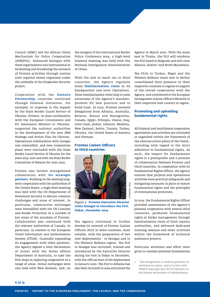<span id="page-5-0"></span>Council (AIMC) and the African Union Mechanism for Police Cooperation (AFRIPOL). Enhanced dialogue with these organisations was instrumental in facilitating and broadening the outreach of Frontex activities through various joint regional events organised under the umbrella of the EU4Border Security project.

Cooperation with the **Eastern Partnership** countries continued through bilateral initiatives. For example, in response to the request by the State Border Guard Service of Ukraine, Frontex, in close coordination with the European Commission and EU Assistance Mission to Ukraine, supported the national authorities in the development of the new IBM Strategy and Action Plan for Ukraine. Operational collaboration with Georgia was intensified, and new cooperation plans were concluded with the State Border Guard Service of Ukraine for the years 2019−2021 and with the State Border Committee of Belarus for 2020-2022.

Frontex also further strengthened collaboration with **its strategic partners**. Building on the existing longterm cooperation with the authorities of the United States, a high-level meeting was held with the US Department of Homeland Security to discuss common challenges and areas of interest. In particular, constructive exchanges were intensified with the US Customs and Border Protection in a number of key areas of the mandate of Frontex. Collaboration also continued with the relevant authorities of Canada, in particular, in relation to the European Travel Information and Authorisation System (ETIAS). Gradually expanding its engagement with other partners, the Agency signed a Joint Declaration of Intent with the Home Affairs Department of Australia, to take the first steps in exploring cooperation in a range of areas. Initial exchanges were also held with New Zealand, and, on the margins of the International Border Police Conference 2019, a high-level bilateral meeting was held with the National Immigration Administration of China.

With the aim to reach out to third countries, the Agency regularly hosts **familiarisation visits** in its headquarters and Joint Operations. These familiarisation visits help to raise awareness of the Agency's mandate, promote EU best practices and to build trust. In 2019, Frontex received delegations from Albania, Australia, Belarus, Bosnia and Herzegovina, Canada, Egypt, Ethiopia, Ghana, Iraq, Ivory Coast, Jordan, Lebanon, Moldova, New Zealand, Serbia, Tunisia, Turkey, Ukraine, the United States of America and Vietnam.

#### **Frontex Liaison Officers to third countries**



Figure 3: **Frontex Executive Director visits Senegal to introduce the FLO. Dakar, December 2019**

The Agency continued to further develop its network of Frontex Liaison Officers (FLO) in third countries, most notably, with the preparation of two new deployments - to Senegal and to the Western Balkans region. The FLO to Senegal was recruited, trained and introduced by the Executive Director during his visit to Dakar in December, with the official start of the deployment in January 2020. The FLO to Albania has also been recruited in 2019 and joined the

Agency in March 2020. With the main seat in Tirana, the FLO will reinforce the FLO based in Belgrade and will cover Albania, Kosovo\*2 and North Macedonia.

The FLOs to Turkey, Niger and the Western Balkans (main seat in Serbia) consolidated their presence in their respective countries or regions in support of the overall cooperation with the Agency, and contributed to the European Immigration Liaison Officers Network in their respective host country or region.

### **Promoting and upholding fundamental rights**

All bilateral and multilateral cooperation agreements and activities are concluded or organised within the framework of the external action policy of the Union, including with regard to the strict adherence to fundamental rights. As such, the respect for fundamental rights is a prerequisite and a premise of collaboration between Frontex and third countries. In cooperation with its Fundamental Rights Officer, the Agency ensures that projects and operational activities have practical safeguards and mitigating measures in place to ensure fundamental rights and the principles of international protection.

In 2019, the Fundamental Rights Officer provided assessments of the Agency's planned cooperation with several third countries, promoted fundamental rights in border management through familiarisation visits of third country authorities, and delivered dedicated training sessions and other activities within the framework of technical assistance projects.

Particular attention and effort were given to consider potential fundamental

<sup>2</sup> \* This designation is without prejudice to positions on status, and is in line with UNSCR 1244/1999 and the ICJ Opinion on the Kosovo declaration of independence.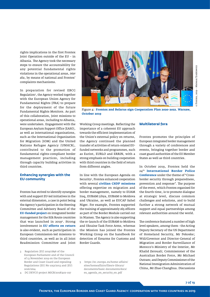Frontex, 2019 - - Mateusz Tyszkiewicz © Frontex, 2019- - Mateusz Tyszkiewicz

<span id="page-6-0"></span>rights implications in the first Frontex Joint Operation outside of the EU – in Albania. The Agency took the necessary steps to ensure the accountability for any potential fundamental rights violations in the operational areas, *inter alia*, by means of national and Frontex' complaints mechanisms.

In preparation for revised EBCG Regulation3 , the Agency worked together with the European Union Agency for Fundamental Rights (FRA) to prepare for the deployment of the future Fundamental Rights Monitors. As part of this collaboration, Joint missions to operational areas, including to Albania, were undertaken. Engagement with the European Asylum Support Office (EASO), as well as international organisations, such as the International Organization for Migration (IOM) and the United Nations Refugee Agency (UNHCR), contributed to the promotion of fundamental rights-compliant border management practices, including through capacity building activities in third countries.

#### **Enhancing synergies with the EU community**

Frontex has strived to identify synergies with and support EU-led initiatives in the external dimension, a case in point being the Agency's participation in the Steering Committee and Advisory Board of the **EU-funded project** on integrated border management for the Silk Route countries that was launched in 20194. Strong involvement in **EU efforts on return** is also evident, such as participation in European Commission-led missions to third countries, as well as in all Joint Readmission Committee and Joint

- 3 Regulation (EU) 2019/1896 of the European Parliament and of the Council of 13 November 2019 on the European Border and Coast Guard and repealing Regulations (EU) No 1052/2013 and (EU) 2016/1624
- 4 DG DEVCO project MIGR/2018/402-027



importance of a coherent EU approach towards the efficient implementation of the Union's external policy on returns, the Agency continued the planned transfer of activities of return-related EUfunded networks and programmes, such as Eurint, EURLO and ERRIN, with a strong emphasis on building cooperation with third countries in the field of return from different angles.

In line with the European Agenda on Security5 , Frontex enhanced cooperation with several **civilian CSDP missions** offering expertise on migration and border management, namely to EUAM Iraq, EUBAM Libya, EUBAM to Moldova and Ukraine, as well as EUCAP Sahel Niger. For example, Frontex supported the training of approximately 265 officers as part of the Border Module carried out in Niamey. The Agency is also supporting the re-launch of the EUBAM to Moldova and Ukraine Task Force Arms, whereas the Mission has joined the Frontex Working Group on the handbook for detection of firearms for Customs and Border Guards.

5 https://ec.europa.eu/home-affairs/ sites/homeaffairs/files/e-library/ documents/basic-documents/docs/ eu\_agenda\_on\_security\_en.pdf

Frontex promotes the principles of European integrated border management through a variety of conferences and events, bringing together border and coast guard authorities of the EU Member States as well as third countries.

In October 2019, Frontex held the 24th **International Border Police Conference** under the theme of "Crossborder security through preparedness, prevention and response". The purpose of the event, which Frontex organised for the fourth time, is to promote dialogue at strategic level, discuss common challenges and solutions, and to build further a strong network of mutual support and equal partnerships among relevant authorities around the world.

The conference featured a number of high level speakers, among them - the Acting Deputy Secretary of the US Department of Homeland Security, Mr Pekoske; Wāli/Governor and Director-General of Migration and Border Surveillance of Morocco's Ministry of the Interior, Mr Khalid Zerouali; Commissioner of the Australian Border Force, Mr Michael Outram; and Deputy Commissioner of the National Immigration Administration of China, Mr Zhao Changhua. Discussions

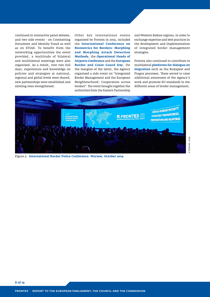continued in interactive panel debates, and two side events - on Combatting Document and Identity Fraud as well as on ETIAS. To benefit from the networking opportunities the event provided, a multitude of bilateral and multilateral meetings were also organised. As a result, over two full days, experiences and knowledge on policies and strategies at national, regional and global levels were shared, new partnerships were established and existing ones strengthened.

Other key international events organised by Frontex in 2019, included the **International Conference on Biometrics for Borders**: **Morphing and Morphing Attack Detection Methods**, the **Operational Heads of Airports Conference** and the **European Border and Coast Guard Day**. On the margins of the latter, the Agency organised a side event on "Integrated Border Management and the European Neighbourhood: Cooperation across borders". The event brought together the authorities from the Eastern Partnership

and Western Balkan regions, in order to exchange expertise and best practices in the development and implementation of integrated border management strategies.

Frontex also continued to contribute to multilateral **platforms for dialogue on migration** such as the Budapest and Prague processes. These served to raise additional awareness of the Agency's work and promote EU standards in the different areas of border management.



Figure 5: **International Border Police Conference. Warsaw, October 2019**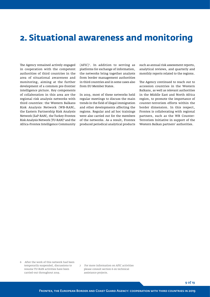# <span id="page-8-0"></span>**2. Situational awareness and monitoring**

The Agency remained actively engaged in cooperation with the competent authorities of third countries in the area of situational awareness and monitoring, aiming at the further development of a common pre-frontier intelligence picture. Key components of collaboration in this area are the regional risk analysis networks with third countries: the Western Balkans Risk Analysis Network (WB-RAN), the Eastern Partnership Risk Analysis Network (EaP-RAN), the Turkey-Frontex Risk Analysis Network (TU-RAN)<sup>6</sup> and the Africa-Frontex Intelligence Community

(AFIC)7 . In addition to serving as platforms for exchange of information, the networks bring together analysts from border management authorities in third countries and in some cases also from EU Member States.

In 2019, most of these networks held regular meetings to discuss the main trends in the field of illegal immigration and other developments affecting the regions. Regular and ad hoc trainings were also carried out for the members of the networks. As a result, Frontex produced periodical analytical products such as annual risk assessment reports, analytical reviews, and quarterly and monthly reports related to the regions.

The Agency continued to reach out to accession countries in the Western Balkans, as well as relevant authorities in the Middle East and North Africa region, to promote the importance of counter-terrorism efforts within the border dimension. In this respect, Frontex is collaborating with regional partners, such as the WB Counter-Terrorism Initiative in support of the Western Balkan partners' authorities.

6 After the work of this network had been temporarily suspended, discussions to resume TU-RAN activities have been carried-out throughout 2019.

7 For more information on AFIC activities please consult section 6 on technical assistance projects.

9 of 19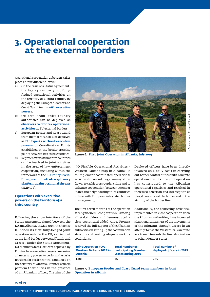# <span id="page-9-0"></span>**3. Operational cooperation at the external borders**

Operational cooperation at borders takes place at four different levels:

- a) On the basis of a Status Agreement, the Agency can carry out fullyfledged operational activities on the territory of a third country by deploying the European Border and Coast Guard teams **with executive powers**.
- b) Officers from third-country authorities can be deployed as **observers to Frontex operational activities** at EU external borders.
- c) European Border and Coast Guard team members can be also deployed as **EU Experts without executive powers** to Coordination Points established at the border crossing points between two third countries.
- d) Representatives from third countries can be involved in joint activities in the area of law enforcement cooperation, including within the framework of the **EU Policy Cycle/ European multidisciplinary platform against criminal threats** (EMPACT).

### **Operations with executive powers on the territory of a third country**

Following the entry into force of the Status Agreement signed between the EU and Albania, in May 2019, the Agency launched its first fully-fledged joint operation outside the EU, carried out at the land border between Albania and Greece. Under the Status Agreement, EU Member States' officers deployed by Frontex have executive powers, meaning all necessary powers to perform the tasks required for border control conducted on the territory of Albania. Frontex officers perform their duties in the presence of an Albanian officer. The aim of the



"JO Flexible Operational Activities - Western Balkans 2019 in Albania" is to implement coordinated operational activities to control illegal immigration flows, to tackle cross-border crime and to enhance cooperation between Member States and neighbouring third countries in line with European integrated border management.

The first seven months of the operation strengthened cooperation among all stakeholders and demonstrated a clear operational added value. Frontex received the full support of the Albanian authorities in setting up the coordination structure and creating adequate working conditions.

Deployed officers have been directly involved on a daily basis in carrying out border control duties with concrete operational results. The joint operation has contributed to the Albanian operational capacities and resulted in increased detection and interception of illegal crossings at the border and in the vicinity of the border line.

Additionally, the debriefing activities, implemented in close cooperation with the Albanian authorities, have increased situational awareness of the movements of the migrants through Greece in an attempt to use the Western Balkan route as a transit towards the final destination to other Member States.

| <b>Joint Operation FOA</b><br><b>Western Balkans 2019 in</b><br><b>Albania</b> | <b>Total number of</b><br>participating Member<br><b>States during 2019</b> | <b>Total number of</b><br>deployed officers in 2019 |
|--------------------------------------------------------------------------------|-----------------------------------------------------------------------------|-----------------------------------------------------|
| Land                                                                           | 16                                                                          | 265                                                 |
|                                                                                |                                                                             |                                                     |

Figure 7: **European Border and Coast Guard team members in Joint Operation in Albania**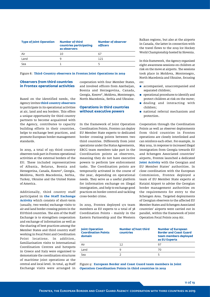<span id="page-10-0"></span>

| <b>Number of third</b><br>countries participating<br>as observers | <b>Number of observer</b><br><b>officers</b> |  |
|-------------------------------------------------------------------|----------------------------------------------|--|
| 10                                                                | 67                                           |  |
| q                                                                 | 121                                          |  |
|                                                                   |                                              |  |
|                                                                   |                                              |  |

Figure 8: **Third-Country observers in Frontex Joint Operations in 2019**

### **Observers from third countries in Frontex operational activities**

Based on the identified needs, the Agency invites **third country observers** to participate in its operational activities at air, land and sea borders. This offers a unique opportunity for third country partners to become acquainted with the Agency, contributes to capacity building efforts in their countries, helps to exchange best practices, and promote European border management standards.

In 2019, a total of 193 third country observers took part in Frontex operational activities at the external borders of the EU. These included representatives of Albania, Belarus, Bosnia and Herzegovina, Canada, Kosovo\*, Georgia, Moldova, North Macedonia, Serbia, Turkey, Ukraine and the United States of America.

Additionally, third country staff participated in **the Staff Exchange Activity** which consists of short-term (usually, two weeks) exchange visits to air and land border crossing points in the EU/third countries. The aim of the Staff Exchange is to strengthen cooperation and exchange of information as well as the sharing of best practices among the Member States and third country staff working in Focal Point and Coordination Point locations. In addition, familiarisation visits to International Coordination Centres and hotspots in Greece and Italy were organised to demonstrate the coordination structures of maritime joint operations at the central and local level. In total, 45 Staff Exchange visits were arranged in

cooperation with four Member States, and involved officers from Azerbaijan, Bosnia and Herzegovina, Canada, Georgia, Kosovo\*, Moldova, Montenegro, North Macedonia, Serbia and Ukraine.

### **Operations in third countries without executive powers**

In the framework of Joint Operation Coordination Points, Frontex can deploy EU Member State experts to dedicated border crossing points between two third countries. Differently from joint operations under the Status Agreements, EBCG team members take part in the Coordination points as observers, meaning they do not have executive powers to perform law enforcement tasks. The Coordination points are temporarily activated in the course of the year, depending on operational needs. They serve as a useful platform for information exchange on illegal immigration, and help to exchange good practices on border control and tackling cross-border crime.

In 2019, Frontex deployed 172 team members as EU experts to a total of 38 Coordination Points – mainly in the Eastern Partnership and the Western Balkan regions, but also at the airports in Canada, the latter in connection with the travel flows to the 2019 Ice Hockey World Championship hosted by Slovenia.

In this framework, the Agency organised eight awareness sessions on children at risk on the move at airports. The sessions took place in Moldova, Montenegro, North Macedonia and Ukraine, focusing on:

- accompanied, unaccompanied and separated children;
- $\blacksquare$  operational procedures to identify and protect children at risk on the move;
- **I** dealing and interacting with children;
- national referral mechanism and protection.

Cooperation through the Coordination Points as well as observer deployments from third countries in Frontex operations are closely interlinked and can reinforce each other. For example, in May 2019, in response to increased illegal immigration from Georgia towards EU and Schengen Associated countries' airports, Frontex launched a dedicated **Joint Activity** with the Georgian and EU Member States' authorities. In close coordination with the European Commission, Frontex deployed a team of EU Member State experts at Kutaisi Airport to advise the Georgian border management authorities on the requirements for entry to the Schengen Area. Targeted deployments of Georgian observers to the affected EU Member States and Schengen Associated countries' airports were carried out in parallel, within the framework of Joint Operation Focal Points 2019 Air.

| <b>Joint Operation</b><br><b>Coordination Points</b><br>domain | <b>Number of host third</b><br>countries | <b>Number of European</b><br><b>Border and Coast Guard</b><br>team members deployed<br>as EU Experts |  |
|----------------------------------------------------------------|------------------------------------------|------------------------------------------------------------------------------------------------------|--|
| Air                                                            | 12                                       | 97                                                                                                   |  |
| Land                                                           | ດ                                        | 70                                                                                                   |  |
| Sea                                                            |                                          |                                                                                                      |  |

Figure 9: **European Border and Coast Guard team members in Joint Operation Coordination Points in third countries in 2019**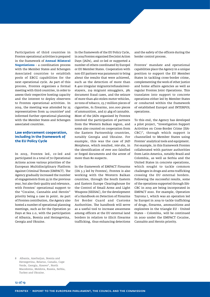<span id="page-11-0"></span>Participation of third countries in Frontex operational activities is prepared in the framework of **Annual Bilateral Negotiations** – a coordination process with the Member States and Schengen Associated countries to establish pools of EBCG capabilities for the next operational cycle. As part of this process, Frontex organises a formal meeting with third countries, in order to assess their respective hosting capacity and the interest to deploy observers to Frontex operational activities. In 2019, the meeting was attended by 25 representatives from 14 countries<sup>8</sup> and informed further operational planning with the Member States and Schengen associated countries.

### **Law enforcement cooperation, including in the framework of the EU Policy Cycle**

In 2019, Frontex led, co-led and participated in a total of 70 Operational Actions across various priorities of the European Multidisciplinary Platform Against Criminal Threats (EMPACT). The Agency gradually increased the number of engagements from 55 in the previous year, but also their quality and relevance, with Frontex' operational support to the "Cocaine, Cannabis and Heroin" priority being a case in point. As part of Frontex contribution, the Agency also hosted a number of operational planning meetings, such as for the Operation 30 Days at Sea 2.0, with the participation of Albania, Bosnia and Herzegovina, Georgia and Ukraine.

In the framework of the EU Policy Cycle, in 2019 Frontex organised five Joint Action Days (JADs), and co-led or supported a number of others coordinated by Europol or EU Member States. Cooperation with non-EU partners was paramount to bring about the results that were achieved, such as the detection of more than 8.400 irregular migrants/refusals/overstayers, 219 migrant smugglers, 381 document fraud cases, and the seizure of more than 460 stolen motor vehicles, 20 tons of tobacco, 23.7 million pieces of cigarettes, 61 firearms, 200.000 pieces of ammunition, and 27.4kg of cannabis. Most of the JADs organised by Frontex involved the participation of partners from the Western Balkan region, and some also counted on cooperation from the Eastern Partnership countries, notably Georgia and Ukraine. For example, this was the case of JAD Morpheus, which resulted, *inter alia*, in the identification of over 200 falsified or forged documents and the arrest of more than 80 suspects.

In the framework of EMPACT Firearms (OA 3.3 led by Frontex), Frontex is also working with the Western Balkan countries, through the South Eastern and Eastern Europe Clearinghouse for the Control of Small Arms and Light Weapons (SEESAC), for the development of a Handbook on Detection of Firearms for Border Guard and Customs Authorities. The handbook will serve as a useful tool to increase awareness among officers at the EU external land borders in relation to illicit firearms trafficking, thus enhancing detections

and the safety of the officers during the border control process.

Frontex' mandate and operational capabilities place the Agency in a unique position to support the EU Member States in tackling cross-border crime, complementing the work of other justice and home affairs agencies as well as regular Frontex Joint Operations. This translates into support to concrete operations either led by Member States or conducted within the framework of established Europol and INTERPOL operations.

To this end, the Agency has developed a pilot project, "Investigation Support Activities on Cross-Border Crime (ISA-CBC)", through which support is channelled to Member States using Frontex' analytical tools and equipment. For example, in this framework Frontex collaborated with partner authorities from Latin America, notably Brazil and Colombia, as well as Serbia and the United States in concrete operations, which sought to tackle common challenges in drugs and arms trafficking crossing the EU external borders. Following the successful results, some of the operations supported through ISA-CBC in 2019 are being incorporated in EMPACT 2020. For example, Operation Tayrona I, which was an operation led by Europol in 2019 to tackle trafficking of drugs, firearms, ammunitions and explosives in the triangle EU - United States – Colombia, will be continued in 2020 under the EMPACT Cocaine, Cannabis and Heroin priority.

8 Albania, Azerbaijan, Bosnia and Herzegovina, Belarus, Canada, Cape Verde, Georgia, Kosovo\*, North Macedonia, Moldova, Russia, Serbia, Turkey and Ukraine.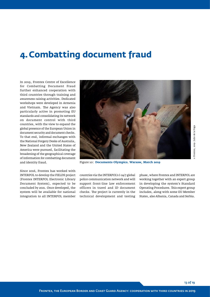# <span id="page-12-0"></span>**4.Combatting document fraud**

In 2019, Frontex Centre of Excellence for Combatting Document Fraud further enhanced cooperation with third countries through training and awareness raising activities. Dedicated workshops were developed in Armenia and Vietnam. The Agency was also particularly active in promoting EU standards and consolidating its network on document control with third countries, with the view to expand the global presence of the European Union in document security and document checks. To that end, informal exchanges with the National Forgery Desks of Australia, New Zealand and the United States of America were pursued, facilitating the broadening of the geographical coverage of information for combatting document and identity fraud.

Since 2016, Frontex has worked with INTERPOL to develop the FIELDS project (Frontex INTERPOL Electronic Library Document System), expected to be concluded by 2021. Once developed, the system will be available for national integration to all INTERPOL member



Figure 10: **Documents Olympics. Warsaw, March 2019**

countries via the INTERPOL's I-24/7 global police communication network and will support front-line law enforcement officers in travel and ID document checks. The project is currently in the technical development and testing phase, where Frontex and INTERPOL are working together with an expert group in developing the system's Standard Operating Procedures. This expert group includes, along with some EU Member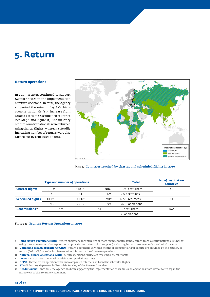# <span id="page-13-0"></span>**5. Return**

#### **Return operations**

In 2019, Frontex continued to support Member States in the implementation of return decisions. In total, the Agency supported the return of 15.876 thirdcountry nationals (13% increase from 2018) to a total of 82 destination countries (see Map 1 and Figure 11). The majority of third country nationals were returned using charter flights, whereas a steadily increasing number of returns were also carried out by scheduled flights.





| <b>Type and number of operations</b> |                    |                    |                   | <b>Total</b>     | <b>No of destination</b><br>countries |
|--------------------------------------|--------------------|--------------------|-------------------|------------------|---------------------------------------|
| <b>Charter flights</b>               | IRO <sup>9</sup>   | CRO <sup>10</sup>  | NRO <sup>11</sup> | 10.903 returnees | 40                                    |
|                                      | 142                | 64                 | 124               | 330 operations   |                                       |
| <b>Scheduled flights</b>             | DEPA <sup>12</sup> | DEPU <sup>13</sup> | VD <sup>14</sup>  | 4.776 returnees  | 81                                    |
|                                      | 719                | 2.795              | 99                | 3.613 operations |                                       |
| Readmissions <sup>15</sup>           | Sea                |                    | Air               | 197 returnees    | N/A                                   |
|                                      | 31                 |                    |                   | 36 operations    |                                       |

#### Figure 11: **Frontex Return Operations in 2019**

- **Joint return operations (JRO)** return operations in which two or more Member States jointly return third-country nationals (TCNs) by using the same means of transportation or provide mutual technical support (by sharing human resources and/or technical means).
- 10 **Collecting return operations (CRO)**  return operations in which means of transport and/or escorts are provided by the country of return (CoR). CROs can be implemented as joint or national return operations.
- 11 **National return operations (NRO)**  return operations carried out by a single Member State.
- 12 **DEPA** Forced-return operation with accompanied returnees
- 13 **DEPU** Forced-return operation with unaccompanied returnees on board the scheduled flights
- 14 **VD** Voluntary departure in line with Article 7 of the Return Directive
- 15 **Readmissions**: Since 2016 the Agency has been supporting the implementation of readmission operations from Greece to Turkey in the framework of the EU-Turkey Statement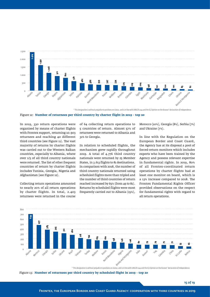

\* This designation is without prejudice to positions on status, and is in line with UNSCR 1244 and the ICJ Opinion on the Kosovo\* declaration of Independence.

Figure 12: **Number of returnees per third country by charter flight in 2019 – top 20**

In 2019, 330 return operations were organised by means of charter flights with Frontex support, returning 10.903 returnees and reaching 40 different third countries (see Figure 11). The vast majority of returns by charter flights was carried out to the Western Balkan countries, especially to Albania, where over 1/5 of all third country nationals were returned. The list of other frequent countries of return by charter flights includes Tunisia, Georgia, Nigeria and Afghanistan (see Figure 12).

Collecting return operations amounted to nearly 20% of all return operations by charter flights. In total, 2.403 returnees were returned in the course

of 64 collecting return operations to 5 countries of return. Almost 57% of returnees were returned to Albania and 32% to Georgia.

In relation to scheduled flights, the mechanism grew rapidly throughout 2019. A total of 4.776 third country nationals were returned by 25 Member States, in 3.613 flights to 81 destinations. In comparison with 2018, the number of third country nationals returned using scheduled flights more than tripled and the number of third countries of return reached increased by 65% (from 49 to 81). Returns by scheduled flights were most frequently carried out to Albania (15%),

Morocco (10%), Georgia (8%), Serbia (7%) and Ukraine (7%).

In line with the Regulation on the European Border and Coast Guard, the Agency has at its disposal a pool of forced-return monitors which includes experts who have been trained by the Agency and possess relevant expertise in fundamental rights. In 2019, 80% of all Frontex-coordinated return operations by charter flights had at least one monitor on board, which is a 13% increase compared to 2018. The Frontex Fundamental Rights Officer provided observations on the respect for fundamental rights with regard to all return operations.



\* This designation is without prejudice to positions on status, and is in line with UNSCR 1244 and the ICJ Opinion on the Kosovo\* declaration of Independence.

Figure 13: **Number of returnees per third country by scheduled flight in 2019 – top 20**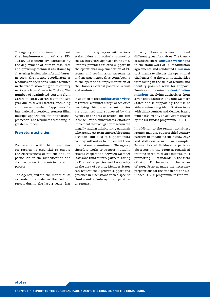<span id="page-15-0"></span>The Agency also continued to support the implementation of the EU-Turkey Statement by coordinating the deployment of human resources and providing technical assistance by chartering ferries, aircrafts and buses. In 2019, the Agency coordinated 36 readmission operations, which resulted in the readmission of 197 third country nationals from Greece to Turkey. The number of readmitted persons from Greece to Turkey decreased in the last year due to several factors, including an increased number of applicants for international protection, returnees filing multiple applications for international protection, and returnees absconding in greater numbers.

#### **Pre-return activities**

Cooperation with third countries on returns is essential to ensure the effectiveness of returns and, in particular, in the identification and documentation of migrants in the return process.

The Agency, within the merits of its expanded mandate in the field of return during the last 4 years, has been building synergies with various stakeholders and actively promoting the EU integrated approach on returns. Frontex provides tailored support in the operational implementation of EU return and readmission agreements and arrangements, thus contributing to the operational implementation of the Union's external policy on return and readmission.

In addition to the **familiarisation visits** to Frontex, a number of regular activities involving third country authorities are organised and supported by the Agency in the area of return. The aim is to facilitate Member States' efforts to implement their obligation to return the illegally staying third country nationals who are subject to an enforceable return decision, but also to support third country authorities to implement their international commitment. The Agency therefore works to support mutually trusted cooperation between Member States and third country partners. Owing to Frontex' expertise and knowledge in the area of return, Member States can request the Agency's support and presence in discussions with a specific third country Embassy on cooperation on returns.

In 2019, these activities included different types of activities. The Agency organised three **consular workshops** in the framework of EU readmission agreements and conducted a **mission** to Armenia to discuss the operational challenges that the country authorities were facing in the field of returns and identify possible ways for support. Frontex also organised 12 **identification missions** involving authorities from seven third countries and nine Member States and is supporting the use of videoconferencing identification tools with third countries and Member States, which is currently an activity managed by the EU-funded programme EURLO.

In addition to the regular activities, Frontex may also support third country partners in enhancing their knowledge and skills on return. For example, Frontex hosted Moldovan experts as observers in the Frontex-organised training on return-related matters, thus promoting EU standards in the field of return. Furthermore, in the course of 2019, Frontex made the necessary preparations for the transfer of the EUfunded EURLO programme to Frontex.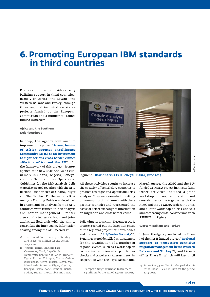## <span id="page-16-0"></span>**6.Promoting European IBM standards in third countries**

Frontex continues to provide capacity building support in third countries, namely in Africa, the Levant, the Western Balkans and Turkey, through three regional technical assistance projects funded by the European Commission and a number of Frontex funded initiatives.

**Africa and the Southern Neighbourhood**

In 2019, the Agency continued to implement the project "**Strengthening of Africa Frontex Intelligence Community (AFIC) as an instrument to fight serious cross-border crimes affecting Africa and the EU**"16. In the framework of this project, Frontex opened four new Risk Analysis Cells, namely in Ghana, Nigeria, Senegal and The Gambia. Three Operational Guidelines for the Risk Analysis Cells were also created together with the AFIC national authorities of Ghana, Niger and The Gambia. Furthermore, a Risk Analysis Training Guide was developed in French and 80 analysts from 16 AFIC countries were trained in risk analysis and border management. Frontex also conducted workshops and joint analytical field visit with the aim to consolidate the inter-agency information sharing among the AFIC network<sup>17</sup>.

- 16 Instrument Contributing to Stability and Peace,  $\varepsilon$ 4 million for the period 2017-2020.
- 17 Angola, Benin, Burkina Faso, Cameroon, Chad, Cape Verde, Democratic Republic of Congo, Djibouti, Egypt, Eritrea, Ethiopia, Ghana, Guinea, Ivory Coast, Kenya, Liberia, Libya, Mali, Mauritania, Morocco, Niger, Nigeria, Senegal, Sierra Leone, Somalia, South Sudan, Sudan, The Gambia and Togo.



Figure 14: **Risk Analysis Cell Senegal. Dakar, June 2019**

All these activities sought to increase the capacity of beneficiary countries to produce strategic and operational risk analysis. They were essential in setting up communication channels with these partner countries and represented the basis for better exchange of information on migration and cross border crime.

Following its launch in December 2018, Frontex carried-out the inception phase of the regional project for North Africa and the Levant, "**EU4Border Security**"18. Synergies were identified with partners for the organisation of a number of regional events, such as a workshop on countering terrorism at airport border checks and traveller risk assessment, in cooperation with the Royal Netherlands

18 European Neighbourhood Instrument- €4 million for the period 12/2018–12/2021. Marechaussee, the AIMC and the EUfunded CT-MENA project in Amsterdam. Other activities included a joint workshop on irregular migration and cross-border crime together with the AIMC and the CT-MENA project in Tunis, and a joint workshop on risk analysis and combating cross-border crime with AFRIPOL in Algiers.

**Western Balkans and Turkey**

In June, the Agency concluded the Phase I of the IPA II funded project "**Regional support to protection sensitive migration management in the Western Balkans and Turkey**"19, and kickedoff its Phase II, which will last until

<sup>19</sup> Phase I - €5.5 million for the period 2016- 2019; Phase II -€3.4 million for the period 2019-2021.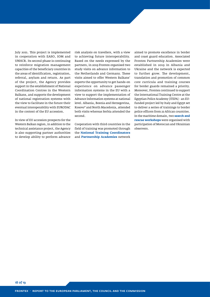July 2021. This project is implemented in cooperation with EASO, IOM and UNHCR. Its second phase is continuing to reinforce migration management capacities of the beneficiary countries in the areas of identification, registration, referral, asylum and return. As part of the project, the Agency provides support in the establishment of National Coordination Centres in the Western Balkans, and supports the development of national registration systems with the view to facilitate in the future their eventual interoperability with EURODAC in the context of the EU accession.

In view of EU accession prospects for the Western Balkan region, in addition to the technical assistance project, the Agency is also supporting partner authorities to develop ability to perform advance risk analysis on travellers, with a view to achieving future interoperability. Based on the needs expressed by the partners, in 2019 Frontex organised two study visits on advance information to the Netherlands and Germany. These visits aimed to offer Western Balkans' experts the opportunity to get hands-on experience on advance passenger information systems in the EU with a view to support the implementation of Advance Information systems at national level. Albania, Bosnia and Herzegovina, Kosovo\* and North Macedonia, attended both visits whereas Serbia attended the second.

Cooperation with third countries in the field of training was promoted through the **National Training Coordinators** and **Partnership Academies** network aimed to promote excellence in border and coast guard education. Associated Frontex Partnership Academies were established in 2019 in Albania and Ukraine and the network is expected to further grow. The development, translation and promotion of common core curricula and training courses for border guards remained a priority. Moreover, Frontex continued to support the International Training Centre at the Egyptian Police Academy (ITEPA) - an EUfunded project led by Italy and Egypt set to deliver a series of trainings to border police officers from 22 African countries. In the maritime domain, two **search and rescue workshops** were organised with participation of Moroccan and Ukrainian observers.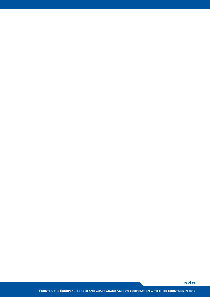### 19 of 19